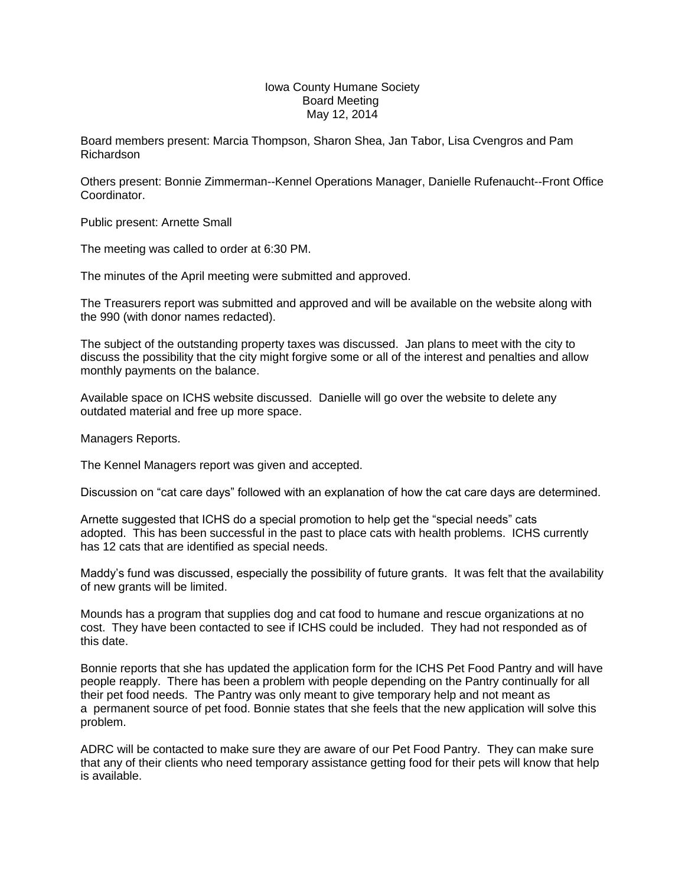## Iowa County Humane Society Board Meeting May 12, 2014

Board members present: Marcia Thompson, Sharon Shea, Jan Tabor, Lisa Cvengros and Pam Richardson

Others present: Bonnie Zimmerman--Kennel Operations Manager, Danielle Rufenaucht--Front Office Coordinator.

Public present: Arnette Small

The meeting was called to order at 6:30 PM.

The minutes of the April meeting were submitted and approved.

The Treasurers report was submitted and approved and will be available on the website along with the 990 (with donor names redacted).

The subject of the outstanding property taxes was discussed. Jan plans to meet with the city to discuss the possibility that the city might forgive some or all of the interest and penalties and allow monthly payments on the balance.

Available space on ICHS website discussed. Danielle will go over the website to delete any outdated material and free up more space.

Managers Reports.

The Kennel Managers report was given and accepted.

Discussion on "cat care days" followed with an explanation of how the cat care days are determined.

Arnette suggested that ICHS do a special promotion to help get the "special needs" cats adopted. This has been successful in the past to place cats with health problems. ICHS currently has 12 cats that are identified as special needs.

Maddy's fund was discussed, especially the possibility of future grants. It was felt that the availability of new grants will be limited.

Mounds has a program that supplies dog and cat food to humane and rescue organizations at no cost. They have been contacted to see if ICHS could be included. They had not responded as of this date.

Bonnie reports that she has updated the application form for the ICHS Pet Food Pantry and will have people reapply. There has been a problem with people depending on the Pantry continually for all their pet food needs. The Pantry was only meant to give temporary help and not meant as a permanent source of pet food. Bonnie states that she feels that the new application will solve this problem.

ADRC will be contacted to make sure they are aware of our Pet Food Pantry. They can make sure that any of their clients who need temporary assistance getting food for their pets will know that help is available.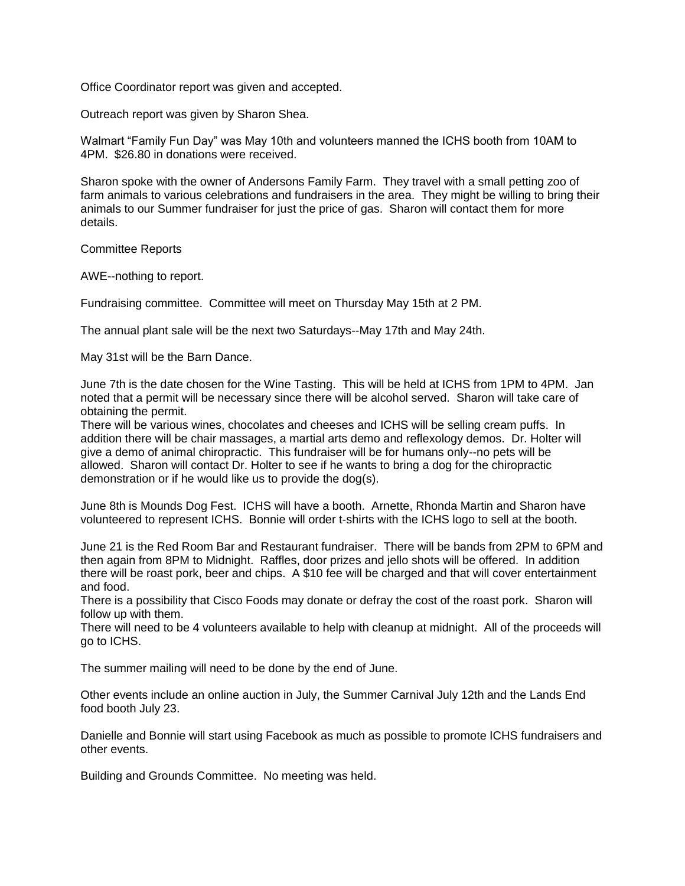Office Coordinator report was given and accepted.

Outreach report was given by Sharon Shea.

Walmart "Family Fun Day" was May 10th and volunteers manned the ICHS booth from 10AM to 4PM. \$26.80 in donations were received.

Sharon spoke with the owner of Andersons Family Farm. They travel with a small petting zoo of farm animals to various celebrations and fundraisers in the area. They might be willing to bring their animals to our Summer fundraiser for just the price of gas. Sharon will contact them for more details.

Committee Reports

AWE--nothing to report.

Fundraising committee. Committee will meet on Thursday May 15th at 2 PM.

The annual plant sale will be the next two Saturdays--May 17th and May 24th.

May 31st will be the Barn Dance.

June 7th is the date chosen for the Wine Tasting. This will be held at ICHS from 1PM to 4PM. Jan noted that a permit will be necessary since there will be alcohol served. Sharon will take care of obtaining the permit.

There will be various wines, chocolates and cheeses and ICHS will be selling cream puffs. In addition there will be chair massages, a martial arts demo and reflexology demos. Dr. Holter will give a demo of animal chiropractic. This fundraiser will be for humans only--no pets will be allowed. Sharon will contact Dr. Holter to see if he wants to bring a dog for the chiropractic demonstration or if he would like us to provide the dog(s).

June 8th is Mounds Dog Fest. ICHS will have a booth. Arnette, Rhonda Martin and Sharon have volunteered to represent ICHS. Bonnie will order t-shirts with the ICHS logo to sell at the booth.

June 21 is the Red Room Bar and Restaurant fundraiser. There will be bands from 2PM to 6PM and then again from 8PM to Midnight. Raffles, door prizes and jello shots will be offered. In addition there will be roast pork, beer and chips. A \$10 fee will be charged and that will cover entertainment and food.

There is a possibility that Cisco Foods may donate or defray the cost of the roast pork. Sharon will follow up with them.

There will need to be 4 volunteers available to help with cleanup at midnight. All of the proceeds will go to ICHS.

The summer mailing will need to be done by the end of June.

Other events include an online auction in July, the Summer Carnival July 12th and the Lands End food booth July 23.

Danielle and Bonnie will start using Facebook as much as possible to promote ICHS fundraisers and other events.

Building and Grounds Committee. No meeting was held.